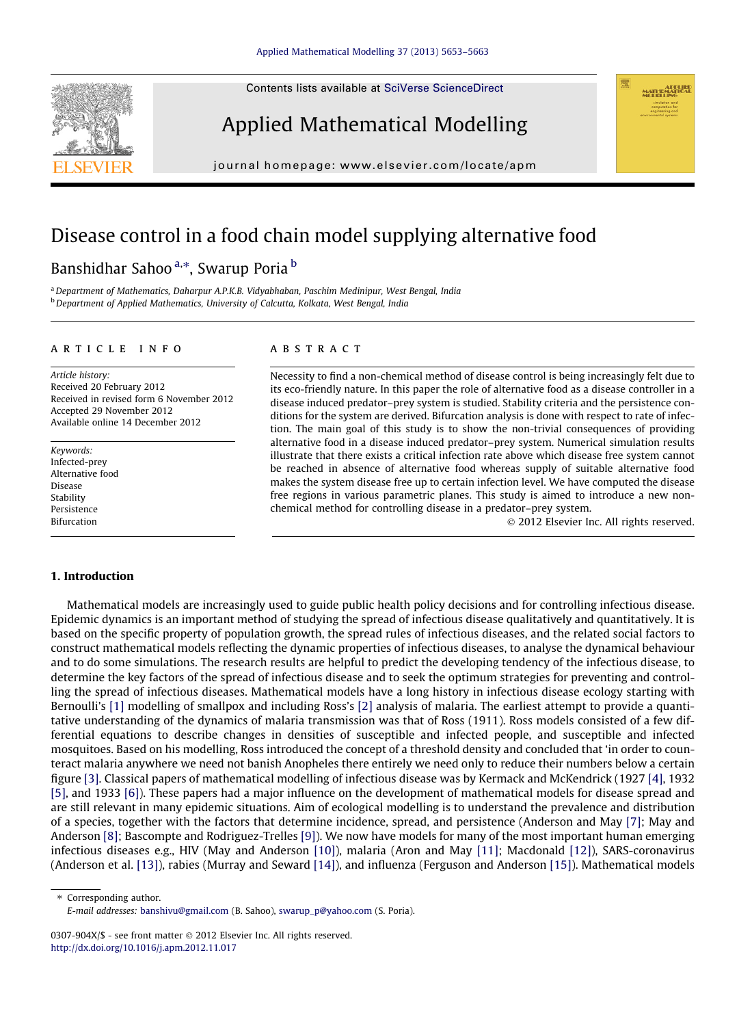Contents lists available at [SciVerse ScienceDirect](http://www.sciencedirect.com/science/journal/0307904X)





journal homepage: [www.elsevier.com/locate/apm](http://www.elsevier.com/locate/apm)

# Disease control in a food chain model supplying alternative food

# Banshidhar Sahoo <sup>a,</sup>\*, Swarup Poria <sup>b</sup>

a Department of Mathematics, Daharpur A.P.K.B. Vidyabhaban, Paschim Medinipur, West Bengal, India <sup>b</sup> Department of Applied Mathematics, University of Calcutta, Kolkata, West Bengal, India

#### article info

Article history: Received 20 February 2012 Received in revised form 6 November 2012 Accepted 29 November 2012 Available online 14 December 2012

Keywords: Infected-prey Alternative food Disease Stability Persistence Bifurcation

# 1. Introduction

# **ABSTRACT**

Necessity to find a non-chemical method of disease control is being increasingly felt due to its eco-friendly nature. In this paper the role of alternative food as a disease controller in a disease induced predator–prey system is studied. Stability criteria and the persistence conditions for the system are derived. Bifurcation analysis is done with respect to rate of infection. The main goal of this study is to show the non-trivial consequences of providing alternative food in a disease induced predator–prey system. Numerical simulation results illustrate that there exists a critical infection rate above which disease free system cannot be reached in absence of alternative food whereas supply of suitable alternative food makes the system disease free up to certain infection level. We have computed the disease free regions in various parametric planes. This study is aimed to introduce a new nonchemical method for controlling disease in a predator–prey system.

- 2012 Elsevier Inc. All rights reserved.

Mathematical models are increasingly used to guide public health policy decisions and for controlling infectious disease. Epidemic dynamics is an important method of studying the spread of infectious disease qualitatively and quantitatively. It is based on the specific property of population growth, the spread rules of infectious diseases, and the related social factors to construct mathematical models reflecting the dynamic properties of infectious diseases, to analyse the dynamical behaviour and to do some simulations. The research results are helpful to predict the developing tendency of the infectious disease, to determine the key factors of the spread of infectious disease and to seek the optimum strategies for preventing and controlling the spread of infectious diseases. Mathematical models have a long history in infectious disease ecology starting with Bernoulli's [\[1\]](#page-9-0) modelling of smallpox and including Ross's [\[2\]](#page-9-0) analysis of malaria. The earliest attempt to provide a quantitative understanding of the dynamics of malaria transmission was that of Ross (1911). Ross models consisted of a few differential equations to describe changes in densities of susceptible and infected people, and susceptible and infected mosquitoes. Based on his modelling, Ross introduced the concept of a threshold density and concluded that 'in order to counteract malaria anywhere we need not banish Anopheles there entirely we need only to reduce their numbers below a certain figure [\[3\].](#page-9-0) Classical papers of mathematical modelling of infectious disease was by Kermack and McKendrick (1927 [\[4\]](#page-9-0), 1932 [\[5\],](#page-9-0) and 1933 [\[6\]\)](#page-9-0). These papers had a major influence on the development of mathematical models for disease spread and are still relevant in many epidemic situations. Aim of ecological modelling is to understand the prevalence and distribution of a species, together with the factors that determine incidence, spread, and persistence (Anderson and May [\[7\]](#page-9-0); May and Anderson [\[8\]](#page-9-0); Bascompte and Rodriguez-Trelles [\[9\]\)](#page-9-0). We now have models for many of the most important human emerging infectious diseases e.g., HIV (May and Anderson [\[10\]\)](#page-9-0), malaria (Aron and May [\[11\];](#page-9-0) Macdonald [\[12\]](#page-9-0)), SARS-coronavirus (Anderson et al. [\[13\]\)](#page-9-0), rabies (Murray and Seward [\[14\]\)](#page-9-0), and influenza (Ferguson and Anderson [\[15\]\)](#page-9-0). Mathematical models

⇑ Corresponding author. E-mail addresses: [banshivu@gmail.com](mailto:banshivu@gmail.com) (B. Sahoo), [swarup\\_p@yahoo.com](mailto:swarup_p@yahoo.com) (S. Poria).

<sup>0307-904</sup>X/\$ - see front matter © 2012 Elsevier Inc. All rights reserved. <http://dx.doi.org/10.1016/j.apm.2012.11.017>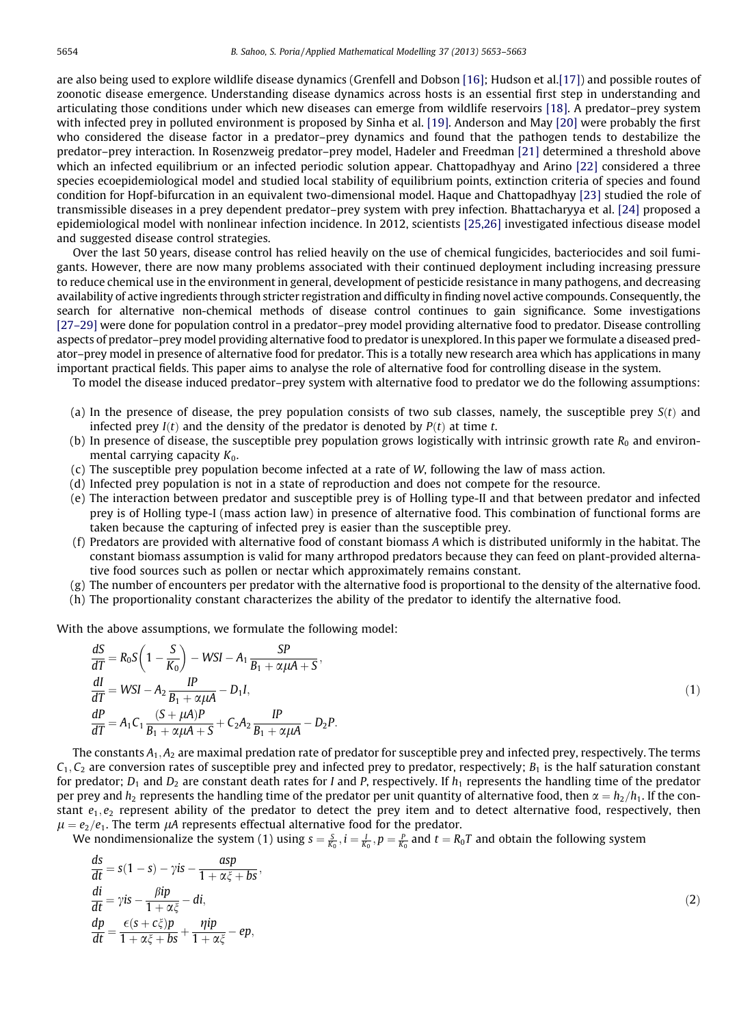<span id="page-1-0"></span>are also being used to explore wildlife disease dynamics (Grenfell and Dobson [\[16\];](#page-9-0) Hudson et al.[\[17\]](#page-9-0)) and possible routes of zoonotic disease emergence. Understanding disease dynamics across hosts is an essential first step in understanding and articulating those conditions under which new diseases can emerge from wildlife reservoirs [\[18\].](#page-9-0) A predator–prey system with infected prey in polluted environment is proposed by Sinha et al. [\[19\].](#page-9-0) Anderson and May [\[20\]](#page-9-0) were probably the first who considered the disease factor in a predator–prey dynamics and found that the pathogen tends to destabilize the predator–prey interaction. In Rosenzweig predator–prey model, Hadeler and Freedman [\[21\]](#page-9-0) determined a threshold above which an infected equilibrium or an infected periodic solution appear. Chattopadhyay and Arino [\[22\]](#page-9-0) considered a three species ecoepidemiological model and studied local stability of equilibrium points, extinction criteria of species and found condition for Hopf-bifurcation in an equivalent two-dimensional model. Haque and Chattopadhyay [\[23\]](#page-9-0) studied the role of transmissible diseases in a prey dependent predator–prey system with prey infection. Bhattacharyya et al. [\[24\]](#page-9-0) proposed a epidemiological model with nonlinear infection incidence. In 2012, scientists [\[25,26\]](#page-9-0) investigated infectious disease model and suggested disease control strategies.

Over the last 50 years, disease control has relied heavily on the use of chemical fungicides, bacteriocides and soil fumigants. However, there are now many problems associated with their continued deployment including increasing pressure to reduce chemical use in the environment in general, development of pesticide resistance in many pathogens, and decreasing availability of active ingredients through stricter registration and difficulty in finding novel active compounds. Consequently, the search for alternative non-chemical methods of disease control continues to gain significance. Some investigations [\[27–29\]](#page-9-0) were done for population control in a predator–prey model providing alternative food to predator. Disease controlling aspects of predator–prey model providing alternative food to predator is unexplored. In this paper we formulate a diseased predator–prey model in presence of alternative food for predator. This is a totally new research area which has applications in many important practical fields. This paper aims to analyse the role of alternative food for controlling disease in the system.

To model the disease induced predator–prey system with alternative food to predator we do the following assumptions:

- (a) In the presence of disease, the prey population consists of two sub classes, namely, the susceptible prey  $S(t)$  and infected prey  $I(t)$  and the density of the predator is denoted by  $P(t)$  at time t.
- (b) In presence of disease, the susceptible prey population grows logistically with intrinsic growth rate  $R_0$  and environmental carrying capacity  $K_0$ .
- (c) The susceptible prey population become infected at a rate of W, following the law of mass action.
- (d) Infected prey population is not in a state of reproduction and does not compete for the resource.
- (e) The interaction between predator and susceptible prey is of Holling type-II and that between predator and infected prey is of Holling type-I (mass action law) in presence of alternative food. This combination of functional forms are taken because the capturing of infected prey is easier than the susceptible prey.
- (f) Predators are provided with alternative food of constant biomass A which is distributed uniformly in the habitat. The constant biomass assumption is valid for many arthropod predators because they can feed on plant-provided alternative food sources such as pollen or nectar which approximately remains constant.
- (g) The number of encounters per predator with the alternative food is proportional to the density of the alternative food.
- (h) The proportionality constant characterizes the ability of the predator to identify the alternative food.

With the above assumptions, we formulate the following model:

$$
\frac{dS}{dT} = R_0 S \left( 1 - \frac{S}{K_0} \right) - WSI - A_1 \frac{SP}{B_1 + \alpha \mu A + S}, \n\frac{dI}{dT} = WSI - A_2 \frac{IP}{B_1 + \alpha \mu A} - D_1 I, \n\frac{dP}{dT} = A_1 C_1 \frac{(S + \mu A)P}{B_1 + \alpha \mu A + S} + C_2 A_2 \frac{IP}{B_1 + \alpha \mu A} - D_2 P.
$$
\n(1)

The constants  $A_1, A_2$  are maximal predation rate of predator for susceptible prey and infected prey, respectively. The terms  $C_1, C_2$  are conversion rates of susceptible prey and infected prey to predator, respectively;  $B_1$  is the half saturation constant for predator;  $D_1$  and  $D_2$  are constant death rates for I and P, respectively. If  $h_1$  represents the handling time of the predator per prey and  $h_2$  represents the handling time of the predator per unit quantity of alternative food, then  $\alpha = h_2/h_1$ . If the constant  $e_1, e_2$  represent ability of the predator to detect the prey item and to detect alternative food, respectively, then  $\mu = e_2/e_1$ . The term  $\mu$ A represents effectual alternative food for the predator.

We nondimensionalize the system (1) using  $s = \frac{S}{K_0}$ ,  $i = \frac{I}{K_0}$ ,  $p = \frac{P}{K_0}$  and  $t = R_0T$  and obtain the following system

$$
\begin{aligned}\n\frac{ds}{dt} &= s(1-s) - \gamma i s - \frac{asp}{1 + \alpha \xi + bs}, \\
\frac{di}{dt} &= \gamma i s - \frac{\beta i p}{1 + \alpha \xi} - di, \\
\frac{dp}{dt} &= \frac{\epsilon(s + c\xi)p}{1 + \alpha \xi + bs} + \frac{\eta i p}{1 + \alpha \xi} - ep,\n\end{aligned} \tag{2}
$$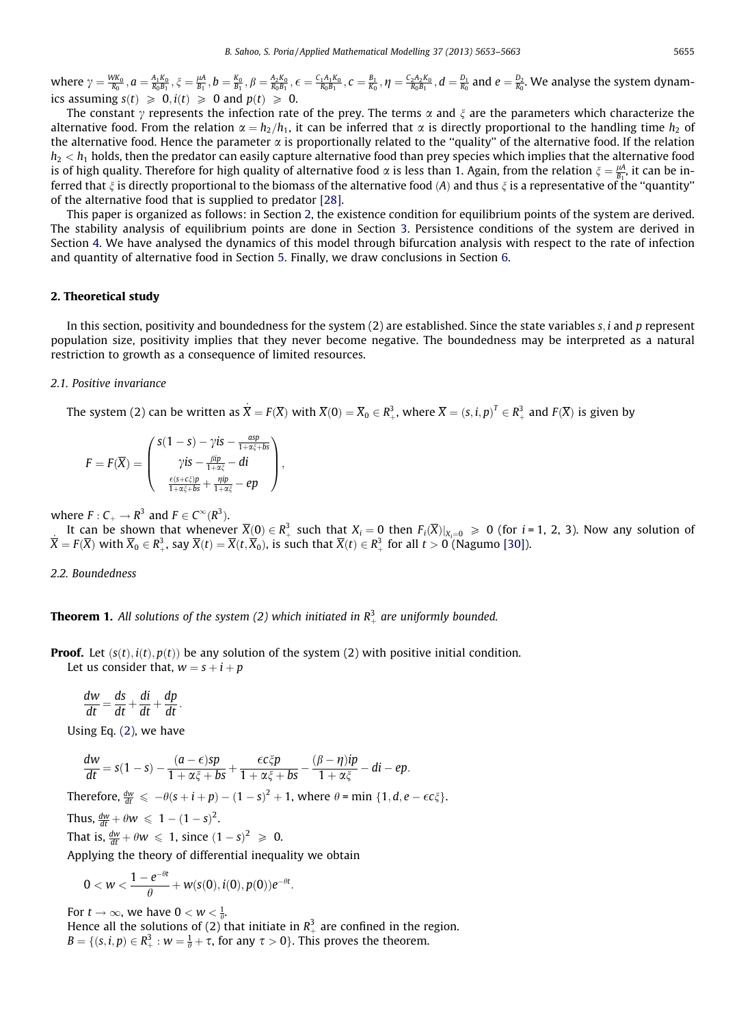where  $\gamma = \frac{W K_0}{R_0}$ ,  $a = \frac{A_1 K_0}{R_0 B_1}$ ,  $\xi = \frac{\mu A}{B_1}$ ,  $b = \frac{K_0}{B_1}$ ,  $\beta = \frac{A_2 K_0}{R_0 B_1}$ ,  $\epsilon = \frac{C_1 A_1 K_0}{R_0 B_1}$ ,  $c = \frac{B_1}{K_0}$ ,  $\eta = \frac{C_2 A_2 K_0}{R_0 B_1}$ ,  $d = \frac{D_1}{R_0}$  and  $e = \frac{D_2}{R_0}$ . We anal ics assuming  $s(t) \geqslant 0$ ,  $i(t) \geqslant 0$  and  $p(t) \geqslant 0$ .

The constant  $\gamma$  represents the infection rate of the prey. The terms  $\alpha$  and  $\zeta$  are the parameters which characterize the alternative food. From the relation  $\alpha = h_2/h_1$ , it can be inferred that  $\alpha$  is directly proportional to the handling time  $h_2$  of the alternative food. Hence the parameter  $\alpha$  is proportionally related to the "quality" of the alternative food. If the relation  $h_2 < h_1$  holds, then the predator can easily capture alternative food than prey species which implies that the alternative food is of high quality. Therefore for high quality of alternative food  $\alpha$  is less than 1. Again, from the relation  $\zeta = \frac{\mu A}{B_1}$ , it can be inferred that  $\xi$  is directly proportional to the biomass of the alternative food (A) and thus  $\xi$  is a representative of the "quantity" of the alternative food that is supplied to predator [\[28\]](#page-9-0).

This paper is organized as follows: in Section 2, the existence condition for equilibrium points of the system are derived. The stability analysis of equilibrium points are done in Section 3. Persistence conditions of the system are derived in Section 4. We have analysed the dynamics of this model through bifurcation analysis with respect to the rate of infection and quantity of alternative food in Section 5. Finally, we draw conclusions in Section 6.

### 2. Theoretical study

In this section, positivity and boundedness for the system  $(2)$  are established. Since the state variables  $s, i$  and  $p$  represent population size, positivity implies that they never become negative. The boundedness may be interpreted as a natural restriction to growth as a consequence of limited resources.

# 2.1. Positive invariance

The system (2) can be written as  $\dot{\overline{X}}=F(\overline{X})$  with  $\overline{X}(0)=\overline{X}_0\in R^3_+$ , where  $\overline{X}=(s,i,p)^T\in R^3_+$  and  $F(\overline{X})$  is given by

$$
F = F(\overline{X}) = \begin{pmatrix} s(1-s) - \gamma i s - \frac{\alpha sp}{1 + \alpha \xi + bs} \\ \gamma i s - \frac{\beta ip}{1 + \alpha \xi} - di \\ \frac{\epsilon(s + c\zeta)p}{1 + \alpha \zeta + bs} + \frac{\eta ip}{1 + \alpha \xi} - ep \end{pmatrix},
$$

where  $F: C_+ \to R^3$  and  $F \in C^{\infty}(R^3)$ .

It can be shown that whenever  $\overline{X}(0) \in R^3$  such that  $X_i = 0$  then  $F_i(\overline{X})|_{X_i=0} \ge 0$  (for  $i = 1, 2, 3$ ). Now any solution of  $\overline{X} = F(\overline{X})$  with  $\overline{X} \in R^3$  say  $\overline{X}(t) = \overline{X}(t, \overline{X})$  is such that  $\overline{X}(t) \in$  $\overline{X} = F(\overline{X})$  with  $\overline{X}_0 \in R_+^3$ , say  $\overline{X}(t) = \overline{X}(t,\overline{X}_0)$ , is such that  $\overline{X}(t) \in R_+^3$  for all  $t > 0$  (Nagumo [\[30\]](#page-9-0)).

# 2.2. Boundedness

**Theorem 1.** All solutions of the system (2) which initiated in  $R^3_+$  are uniformly bounded.

**Proof.** Let  $(s(t), i(t), p(t))$  be any solution of the system (2) with positive initial condition. Let us consider that,  $w = s + i + p$ 

$$
\frac{dw}{dt} = \frac{ds}{dt} + \frac{di}{dt} + \frac{dp}{dt}.
$$

Using Eq. [\(2\),](#page-1-0) we have

$$
\frac{dw}{dt}=s(1-s)-\frac{(a-\epsilon)sp}{1+\alpha\xi+bs}+\frac{\epsilon c\xi p}{1+\alpha\xi+bs}-\frac{(\beta-\eta)ip}{1+\alpha\xi}-di-ep.
$$

Therefore,  $\frac{dw}{dt} \leqslant -\theta(s+i+p) - (1-s)^2 + 1$ , where  $\theta$  = min  $\{1, d, e - \epsilon c \xi\}$ .

Thus,  $\frac{dw}{dt} + \theta w \leq 1 - (1 - s)^2$ .

That is,  $\frac{dw}{dt} + \theta w \leq 1$ , since  $(1-s)^2 \geq 0$ .

Applying the theory of differential inequality we obtain

$$
0 < w < \frac{1-e^{-\theta t}}{\theta} + w(s(0), i(0), p(0))e^{-\theta t}.
$$

For  $t\to\infty$ , we have  $0< w < \frac{1}{\theta}$ .

Hence all the solutions of (2) that initiate in  $R^3_+$  are confined in the region.  $B = \{(s, i, p) \in R_+^3 : w = \frac{1}{\theta} + \tau$ , for any  $\tau > 0\}$ . This proves the theorem.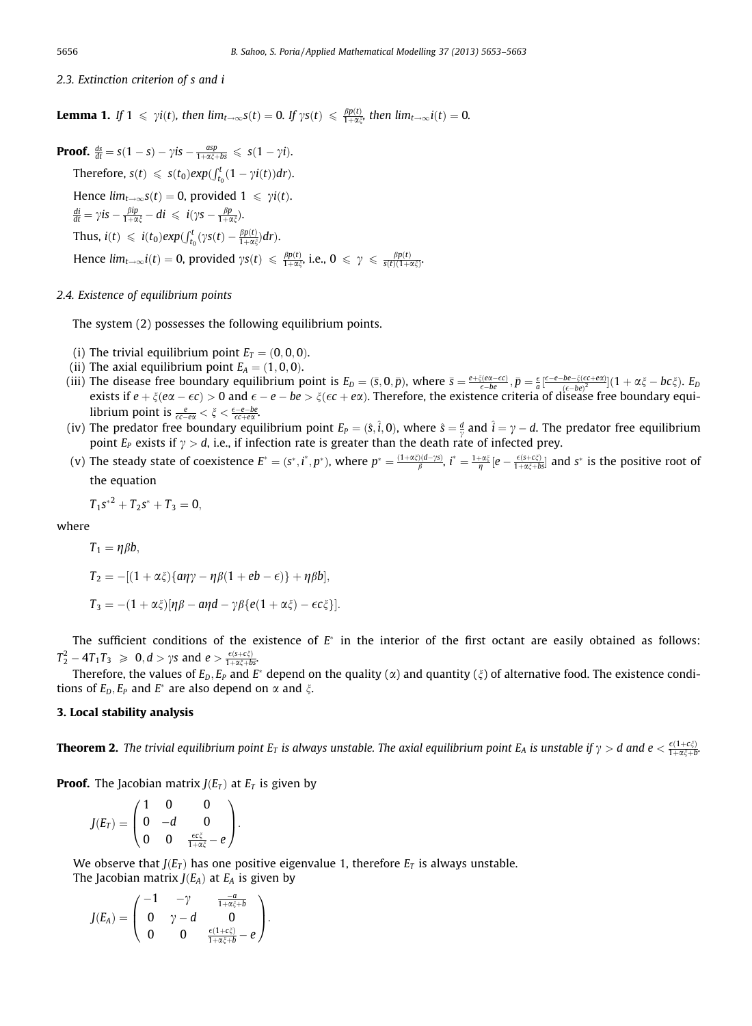2.3. Extinction criterion of s and i

**Lemma 1.** If  $1 \leq \gamma i(t)$ , then  $\lim_{t \to \infty} s(t) = 0$ . If  $\gamma s(t) \leq \frac{\beta p(t)}{1 + \alpha \xi}$ , then  $\lim_{t \to \infty} i(t) = 0$ .

**Proof.**  $\frac{ds}{dt} = s(1-s) - \gamma is - \frac{asp}{1+\alpha\xi+bs} \leqslant s(1-\gamma i).$ Therefore,  $s(t) \leqslant s(t_0) exp(\int_{t_0}^t (1 - \gamma i(t)) dr)$ . Hence  $\lim_{t\to\infty} s(t) = 0$ , provided  $1 \leq \gamma i(t)$ .  $\frac{di}{dt} = \gamma$ is —  $\frac{\beta ip}{1+\alpha \xi} - di \leqslant i(\gamma s - \frac{\beta p}{1+\alpha \xi}).$ Thus,  $i(t) \leq i(t_0) exp(\int_{t_0}^t (\gamma s(t) - \frac{\beta p(t)}{1+\alpha \xi}) dr)$ . Hence  $\lim_{t\to\infty} i(t) = 0$ , provided  $\gamma s(t) \leq \frac{\beta p(t)}{1+\alpha\zeta}$ , i.e.,  $0 \leq \gamma \leq \frac{\beta p(t)}{s(t)(1+\alpha\zeta)}$ .

# 2.4. Existence of equilibrium points

The system (2) possesses the following equilibrium points.

- (i) The trivial equilibrium point  $E_T = (0, 0, 0)$ .
- (ii) The axial equilibrium point  $E_A = (1, 0, 0)$ .
- (iii) The disease free boundary equilibrium point is  $E_D = (\bar{s}, 0, \bar{p})$ , where  $\bar{s} = \frac{e + \xi(e\alpha \epsilon c)}{\epsilon be}$ ,  $\bar{p} = \frac{\epsilon}{a} \left[ \frac{\epsilon e be \xi(\epsilon c + e\alpha)}{\epsilon be^2} \right] (1 + \alpha \xi bc \xi)$ .  $E_D = \frac{\epsilon}{a} \left[ \frac{\epsilon e}{\epsilon be^2} \right]$ exists if  $e + \xi(e\alpha - \epsilon c) > 0$  and  $\epsilon - e - be > \xi(\epsilon c + e\alpha)$ . Therefore, the existence criteria of disease free boundary equilibrium point is  $\frac{e}{\epsilon c - e\alpha} < \xi < \frac{\epsilon - e - be}{\epsilon c + e\alpha}$ .
- (iv) The predator free boundary equilibrium point  $E_p = (\hat{s}, \hat{i}, 0)$ , where  $\hat{s} = \frac{d}{\gamma}$  and  $\hat{i} = \gamma d$ . The predator free equilibrium point  $E_P$  exists if  $\gamma > d$ , i.e., if infection rate is greater than the death rate of infected prey.
- (v) The steady state of coexistence  $E^*=(s^*, i^*, p^*)$ , where  $p^*=\frac{(1+\alpha\zeta)(d-\gamma s)}{\beta}$ ,  $i^*=\frac{1+\alpha\zeta}{\eta}[e-\frac{\epsilon(s+c\zeta)}{1+\alpha\zeta+b\zeta}]$  and  $s^*$  is the positive root of the equation

$$
T_1s^{*2} + T_2s^* + T_3 = 0,
$$

where

 $T_1 = \eta \beta b$ ,

$$
T_2 = -[(1+\alpha\xi)\{a\eta\gamma - \eta\beta(1+eb-\epsilon)\} + \eta\beta b],
$$

$$
T_3=-(1+\alpha\xi)[\eta\beta-\text{and}-\gamma\beta\{e(1+\alpha\xi)-\varepsilon c\xi\}].
$$

The sufficient conditions of the existence of  $E^*$  in the interior of the first octant are easily obtained as follows:  $T_2^2 - 4T_1T_3 \geqslant 0, d > \gamma s$  and  $e > \frac{\epsilon(s + c\xi)}{1 + \alpha \xi + bs^2}$ .

Therefore, the values of  $E_D$ ,  $E_P$  and  $E^*$  depend on the quality ( $\alpha$ ) and quantity ( $\zeta$ ) of alternative food. The existence conditions of  $E_D$ ,  $E_P$  and  $E^*$  are also depend on  $\alpha$  and  $\xi$ .

# 3. Local stability analysis

**Theorem 2.** The trivial equilibrium point  $E_T$  is always unstable. The axial equilibrium point  $E_A$  is unstable if  $\gamma>d$  and  $e<\frac{\epsilon(1+c\xi)}{1+x\xi+b}$ 

**Proof.** The Jacobian matrix  $J(E_T)$  at  $E_T$  is given by

$$
J(E_T)=\begin{pmatrix}1&0&0\\0&-d&0\\0&0&\frac{\epsilon c\tilde{\epsilon}}{1+\alpha\tilde{\varsigma}}-e\end{pmatrix}.
$$

We observe that  $J(E_T)$  has one positive eigenvalue 1, therefore  $E_T$  is always unstable. The Jacobian matrix  $J(E_A)$  at  $E_A$  is given by

$$
J(E_A)=\left(\begin{matrix} -1 & -\gamma & \frac{-a}{1+\alpha\zeta+b} \\ 0 & \gamma-d & 0 \\ 0 & 0 & \frac{\epsilon(1+c\zeta)}{1+\alpha\zeta+b}-e \end{matrix}\right).
$$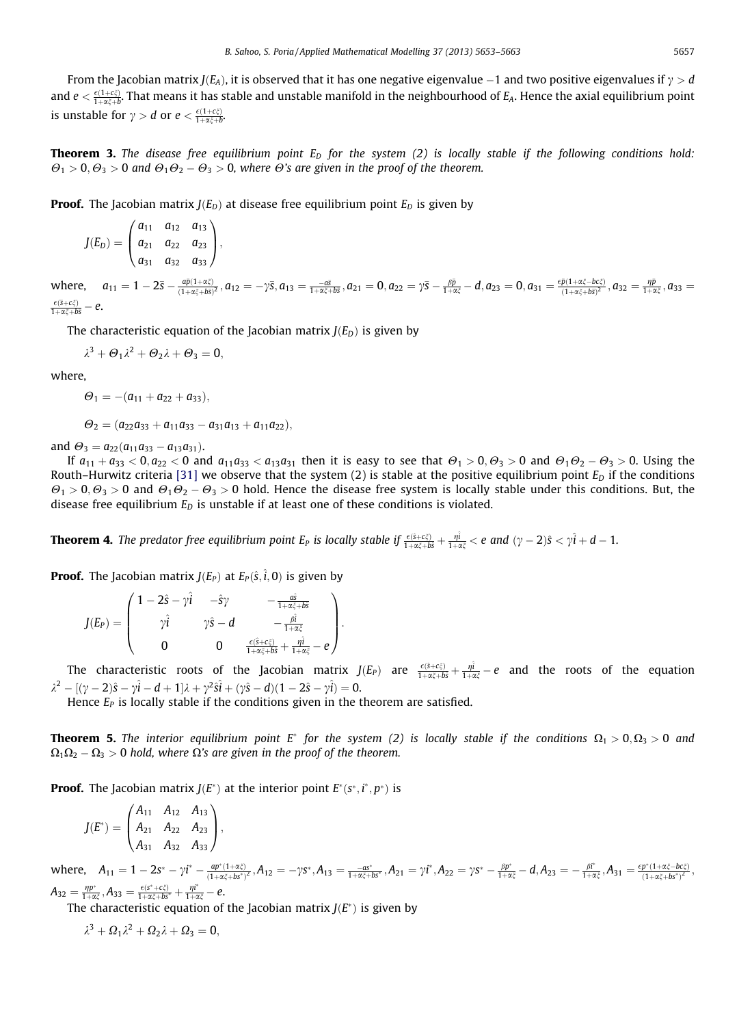From the Jacobian matrix J(E<sub>A</sub>), it is observed that it has one negative eigenvalue  $-1$  and two positive eigenvalues if  $\gamma>d$ and  $e<\frac{\epsilon(1+c\xi)}{1+x\xi+b}$ . That means it has stable and unstable manifold in the neighbourhood of  $E_A$ . Hence the axial equilibrium point is unstable for  $\gamma > d$  or  $e < \frac{\epsilon (1 + c \xi)}{1 + \alpha \xi + b}$ .

**Theorem 3.** The disease free equilibrium point  $E_D$  for the system (2) is locally stable if the following conditions hold:  $\Theta_1 > 0, \Theta_3 > 0$  and  $\Theta_1 \Theta_2 - \Theta_3 > 0$ , where  $\Theta$ 's are given in the proof of the theorem.

**Proof.** The Jacobian matrix  $J(E_D)$  at disease free equilibrium point  $E_D$  is given by

$$
J(E_D) = \begin{pmatrix} a_{11} & a_{12} & a_{13} \\ a_{21} & a_{22} & a_{23} \\ a_{31} & a_{32} & a_{33} \end{pmatrix},
$$

where,  $a_{11} = 1 - 2\bar{s} - \frac{a\bar{p}(1 + \alpha\xi)}{(1 + \alpha\xi + b\bar{s})^2}, a_{12} = -\gamma\bar{s}, a_{13} = \frac{-a\bar{s}}{1 + \alpha\xi + b\bar{s}}, a_{21} = 0, a_{22} = \gamma\bar{s} - \frac{\beta\bar{p}}{1 + \alpha\xi} - d, a_{23} = 0, a_{31} = \frac{\epsilon\bar{p}(1 + \alpha\xi - b\epsilon\xi)}{(1 + \alpha\xi + b\bar{s})^2}, a_{32} = \frac{\eta\bar{p}}{1 + \alpha\xi}$  $\frac{\epsilon\left(\bar{s}+c\xi\right)}{1+\alpha\xi+b\bar{s}}-e.$ 

The characteristic equation of the Jacobian matrix  $J(E_D)$  is given by

$$
\lambda^3 + \Theta_1 \lambda^2 + \Theta_2 \lambda + \Theta_3 = 0,
$$

where,

$$
\Theta_1=-(a_{11}+a_{22}+a_{33}),
$$

 $\Theta_2 = (a_{22}a_{33} + a_{11}a_{33} - a_{31}a_{13} + a_{11}a_{22}),$ 

and  $\Theta_3 = a_{22}(a_{11}a_{33} - a_{13}a_{31}).$ 

If  $a_{11} + a_{33} < 0$ ,  $a_{22} < 0$  and  $a_{11}a_{33} < a_{13}a_{31}$  then it is easy to see that  $\Theta_1 > 0$ ,  $\Theta_3 > 0$  and  $\Theta_1 \Theta_2 - \Theta_3 > 0$ . Using the Routh–Hurwitz criteria [\[31\]](#page-9-0) we observe that the system (2) is stable at the positive equilibrium point  $E_D$  if the conditions  $\Theta_1 > 0, \Theta_3 > 0$  and  $\Theta_1 \Theta_2 - \Theta_3 > 0$  hold. Hence the disease free system is locally stable under this conditions. But, the disease free equilibrium  $E_D$  is unstable if at least one of these conditions is violated.

**Theorem 4.** The predator free equilibrium point  $E_P$  is locally stable if  $\frac{\epsilon(\hat{S}+C\hat{S})}{1+\alpha\zeta+b\hat{S}}+\frac{\eta\hat{i}}{1+\alpha\zeta}< e$  and  $(\gamma-2)\hat{S}<\gamma\hat{i}+d-1$ .

**Proof.** The Jacobian matrix  $J(E_P)$  at  $E_P(\hat{s}, \hat{i}, 0)$  is given by

$$
J(E_P)=\begin{pmatrix} 1-2\hat{s}-\gamma\hat{i} & -\hat{s}\gamma & -\frac{a\hat{s}}{1+\alpha\xi+b\hat{s}} \\ \gamma\hat{i} & \gamma\hat{s}-d & -\frac{\beta\hat{i}}{1+\alpha\xi} \\ 0 & 0 & \frac{\epsilon(\hat{s}+c\xi)}{1+\alpha\xi+b\hat{s}}+\frac{\eta\hat{i}}{1+\alpha\xi}-e \end{pmatrix}.
$$

The characteristic roots of the Jacobian matrix  $J(E_P)$  are  $\frac{\epsilon(\hat{S}+c\xi)}{1+\alpha\xi+b\hat{s}}+\frac{\eta\hat{i}}{1+\alpha\xi}-e$  and the roots of the equation  $\lambda^2 - [(\gamma - 2)\hat{s} - \gamma \hat{i} - d + 1]\lambda + \gamma^2 \hat{s}\hat{i} + (\gamma \hat{s} - d)(1 - 2\hat{s} - \gamma \hat{i}) = 0.$ 

Hence  $E_p$  is locally stable if the conditions given in the theorem are satisfied.

**Theorem 5.** The interior equilibrium point E<sup>\*</sup> for the system (2) is locally stable if the conditions  $\Omega_1 > 0$ ,  $\Omega_3 > 0$  and  $\Omega_1\Omega_2-\Omega_3>0$  hold, where  $\Omega$ 's are given in the proof of the theorem.

**Proof.** The Jacobian matrix  $J(E^*)$  at the interior point  $E^*(s^*, i^*, p^*)$  is

$$
J(E^*) = \begin{pmatrix} A_{11} & A_{12} & A_{13} \\ A_{21} & A_{22} & A_{23} \\ A_{31} & A_{32} & A_{33} \end{pmatrix},
$$

where,  $A_{11} = 1 - 2s^* - \gamma i^* - \frac{ap^*(1 + \alpha \xi)}{(1 + \alpha \xi + bs^*)^2}, A_{12} = -\gamma s^*, A_{13} = \frac{-as^*}{1 + \alpha \xi + bs^*}, A_{21} = \gamma i^*, A_{22} = \gamma s^* - \frac{\beta p^*}{1 + \alpha \xi} - d, A_{23} = -\frac{\beta i^*}{1 + \alpha \xi}, A_{31} = \frac{ep^*(1 + \alpha \xi - bc \xi)}{(1 + \alpha \xi + bs^*)^2}, A_{32} = \frac{ep^*(1 + \alpha \xi - bc \xi)}{(1 + \alpha \$  $A_{32}=\frac{\eta p^*}{1+\alpha \xi}, A_{33}=\frac{\epsilon (s^*+\epsilon \xi)}{1+\alpha \xi+bs^*}+\frac{\eta i^*}{1+\alpha \xi}-e.$ 

The characteristic equation of the Jacobian matrix  $J(E^*)$  is given by

 $\lambda^3 + \Omega_1 \lambda^2 + \Omega_2 \lambda + \Omega_3 = 0,$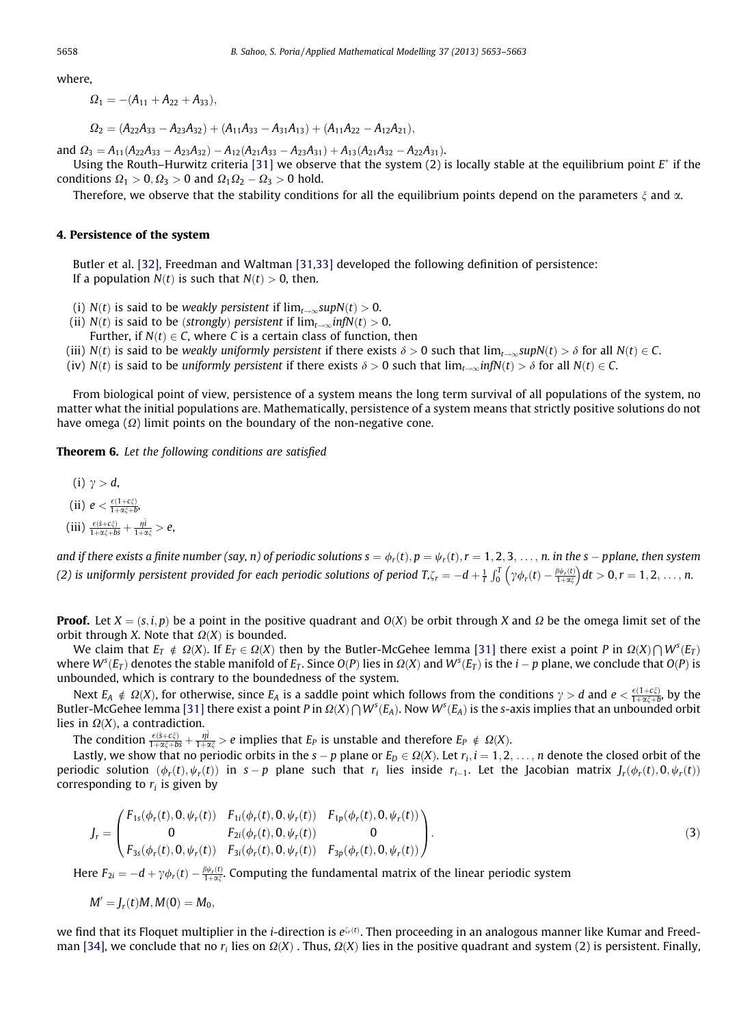where,

$$
\Omega_1 = -(A_{11} + A_{22} + A_{33}),
$$

$$
\Omega_2 = (A_{22}A_{33} - A_{23}A_{32}) + (A_{11}A_{33} - A_{31}A_{13}) + (A_{11}A_{22} - A_{12}A_{21}),
$$

and  $\Omega_3 = A_{11}(A_{22}A_{33} - A_{23}A_{32}) - A_{12}(A_{21}A_{33} - A_{23}A_{31}) + A_{13}(A_{21}A_{32} - A_{22}A_{31}).$ 

Using the Routh–Hurwitz criteria [\[31\]](#page-9-0) we observe that the system (2) is locally stable at the equilibrium point  $E^*$  if the conditions  $\Omega_1 > 0, \Omega_3 > 0$  and  $\Omega_1 \Omega_2 - \Omega_3 > 0$  hold.

Therefore, we observe that the stability conditions for all the equilibrium points depend on the parameters  $\xi$  and  $\alpha$ .

### 4. Persistence of the system

Butler et al. [\[32\]](#page-9-0), Freedman and Waltman [\[31,33\]](#page-9-0) developed the following definition of persistence: If a population  $N(t)$  is such that  $N(t) > 0$ , then.

- (i)  $N(t)$  is said to be weakly persistent if  $\lim_{t\to\infty}supN(t) > 0$ .
- (ii)  $N(t)$  is said to be (strongly) persistent if  $\lim_{t\to\infty}$ inf $N(t) > 0$ .
- Further, if  $N(t) \in C$ , where C is a certain class of function, then
- (iii)  $N(t)$  is said to be weakly uniformly persistent if there exists  $\delta > 0$  such that  $\lim_{t\to\infty} \sup N(t) > \delta$  for all  $N(t) \in \mathcal{C}$ .

(iv)  $N(t)$  is said to be uniformly persistent if there exists  $\delta > 0$  such that  $\lim_{t\to\infty} infN(t) > \delta$  for all  $N(t) \in C$ .

From biological point of view, persistence of a system means the long term survival of all populations of the system, no matter what the initial populations are. Mathematically, persistence of a system means that strictly positive solutions do not have omega  $(\Omega)$  limit points on the boundary of the non-negative cone.

Theorem 6. Let the following conditions are satisfied

- (i)  $\gamma > d$ ,
- (ii)  $e < \frac{\epsilon(1+c\xi)}{1+\alpha\xi+b}$
- (iii)  $\frac{\epsilon(\hat{s}+c\xi)}{1+\alpha\xi+b\hat{s}} + \frac{\eta\hat{i}}{1+\alpha\xi} > e,$

and if there exists a finite number (say, n) of periodic solutions  $s = \phi_r(t), p = \psi_r(t), r = 1,2,3,\ldots,n$ . in the  $s-$  pplane, then system (2) is uniformly persistent provided for each periodic solutions of period  $T_{\zeta_r} = -d + \frac{1}{T} \int_0^T \left( \gamma \phi_r(t) - \frac{\beta \psi_r(t)}{1 + \alpha \zeta} \right) dt > 0, r = 1, 2, ..., n$ .

**Proof.** Let  $X = (s, i, p)$  be a point in the positive quadrant and  $O(X)$  be orbit through X and  $\Omega$  be the omega limit set of the orbit through X. Note that  $\Omega(X)$  is bounded.

We claim that  $E_T \notin \Omega(X)$ . If  $E_T \in \Omega(X)$  then by the Butler-McGehee lemma [\[31\]](#page-9-0) there exist a point P in  $\Omega(X) \bigcap W^s(E_T)$ where  $W^s(E_T)$  denotes the stable manifold of  $E_T$ . Since  $O(P)$  lies in  $\Omega(X)$  and  $W^s(E_T)$  is the  $i-p$  plane, we conclude that  $O(P)$  is unbounded, which is contrary to the boundedness of the system.

Next  $E_A \notin \Omega(X)$ , for otherwise, since  $E_A$  is a saddle point which follows from the conditions  $\gamma > d$  and  $e < \frac{\epsilon(1+\epsilon\xi)}{1+\alpha\xi+b}$ , by the Butler-McGehee lemma [\[31\]](#page-9-0) there exist a point P in  $\Omega(X) \bigcap W^s(E_A)$ . Now  $W^s(E_A)$  is the s-axis implies that an unbounded orbit lies in  $\Omega(X)$ , a contradiction.

The condition  $\frac{\epsilon(\hat{s}+c\xi)}{1+\alpha\xi+b\hat{s}}+\frac{\eta\hat{i}}{1+\alpha\xi}>e$  implies that  $E_P$  is unstable and therefore  $E_P \notin \Omega(X)$ .

Lastly, we show that no periodic orbits in the  $s-p$  plane or  $E_D \in \Omega(X)$ . Let  $r_i$ ,  $i = 1, 2, ..., n$  denote the closed orbit of the periodic solution  $(\phi_r(t), \psi_r(t))$  in s – p plane such that  $r_i$  lies inside  $r_{i-1}$ . Let the Jacobian matrix  $J_r(\phi_r(t), 0, \psi_r(t))$ corresponding to  $r_i$  is given by

$$
J_r = \begin{pmatrix} F_{1s}(\phi_r(t), 0, \psi_r(t)) & F_{1i}(\phi_r(t), 0, \psi_r(t)) & F_{1p}(\phi_r(t), 0, \psi_r(t)) \\ 0 & F_{2i}(\phi_r(t), 0, \psi_r(t)) & 0 \\ F_{3s}(\phi_r(t), 0, \psi_r(t)) & F_{3i}(\phi_r(t), 0, \psi_r(t)) & F_{3p}(\phi_r(t), 0, \psi_r(t)) \end{pmatrix}.
$$
 (3)

Here  $F_{2i} = -d + \gamma \phi_r(t) - \frac{\beta \psi_r(t)}{1 + \alpha \xi}$ . Computing the fundamental matrix of the linear periodic system

$$
M'=J_r(t)M, M(0)=M_0,
$$

we find that its Floquet multiplier in the *i*-direction is  $e^{\zeta_r(t)}$ . Then proceeding in an analogous manner like Kumar and Freed-man [\[34\],](#page-9-0) we conclude that no  $r_i$  lies on  $\Omega(X)$ . Thus,  $\Omega(X)$  lies in the positive quadrant and system (2) is persistent. Finally,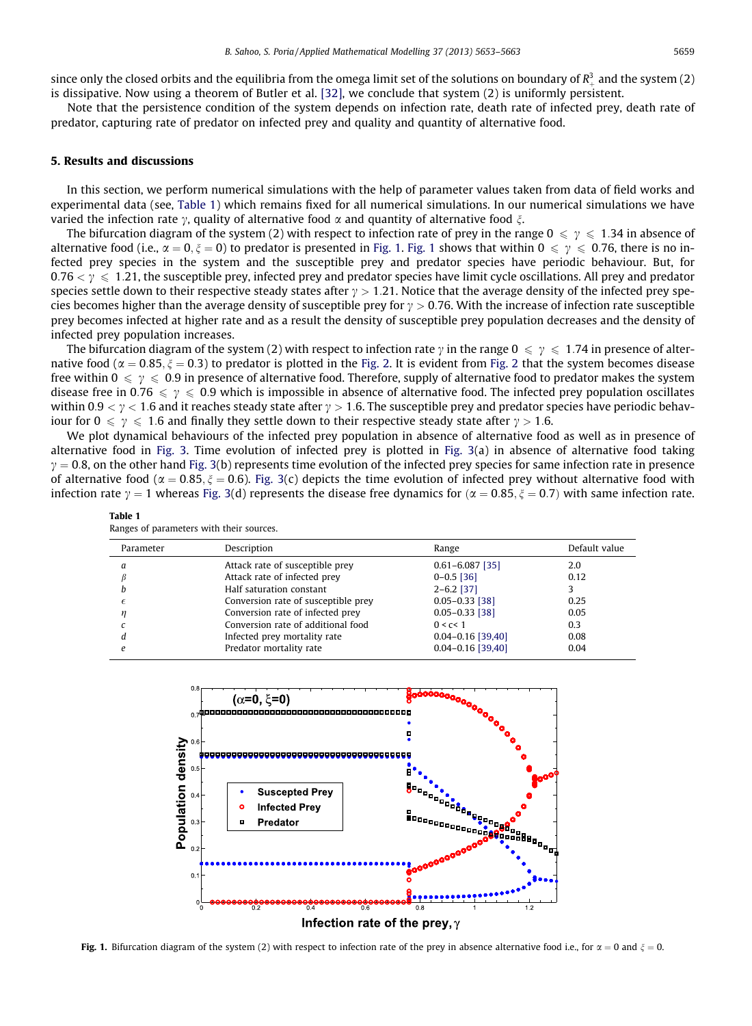<span id="page-6-0"></span>since only the closed orbits and the equilibria from the omega limit set of the solutions on boundary of  $R_+^3$  and the system (2) is dissipative. Now using a theorem of Butler et al. [\[32\],](#page-9-0) we conclude that system (2) is uniformly persistent.

Note that the persistence condition of the system depends on infection rate, death rate of infected prey, death rate of predator, capturing rate of predator on infected prey and quality and quantity of alternative food.

### 5. Results and discussions

Table 1

In this section, we perform numerical simulations with the help of parameter values taken from data of field works and experimental data (see, Table 1) which remains fixed for all numerical simulations. In our numerical simulations we have varied the infection rate  $\gamma$ , quality of alternative food  $\alpha$  and quantity of alternative food  $\xi$ .

The bifurcation diagram of the system (2) with respect to infection rate of prey in the range  $0 \le \gamma \le 1.34$  in absence of alternative food (i.e.,  $\alpha = 0, \xi = 0$ ) to predator is presented in Fig. 1. Fig. 1 shows that within  $0 \le \gamma \le 0.76$ , there is no infected prey species in the system and the susceptible prey and predator species have periodic behaviour. But, for  $0.76 < y \le 1.21$ , the susceptible prey, infected prey and predator species have limit cycle oscillations. All prey and predator species settle down to their respective steady states after  $\gamma > 1.21$ . Notice that the average density of the infected prey species becomes higher than the average density of susceptible prey for  $\gamma > 0.76$ . With the increase of infection rate susceptible prey becomes infected at higher rate and as a result the density of susceptible prey population decreases and the density of infected prey population increases.

The bifurcation diagram of the system (2) with respect to infection rate  $\gamma$  in the range  $0 \le \gamma \le 1.74$  in presence of alternative food ( $\alpha = 0.85$ ,  $\xi = 0.3$ ) to predator is plotted in the [Fig. 2](#page-7-0). It is evident from Fig. 2 that the system becomes disease free within  $0 \le \gamma \le 0.9$  in presence of alternative food. Therefore, supply of alternative food to predator makes the system disease free in 0.76  $\leq \gamma \leq 0.9$  which is impossible in absence of alternative food. The infected prey population oscillates within 0.9  $\lt$   $\gamma$   $lt$  1.6 and it reaches steady state after  $\gamma$   $gt$  1.6. The susceptible prey and predator species have periodic behaviour for  $0 \le \gamma \le 1.6$  and finally they settle down to their respective steady state after  $\gamma > 1.6$ .

We plot dynamical behaviours of the infected prey population in absence of alternative food as well as in presence of alternative food in [Fig. 3](#page-7-0). Time evolution of infected prey is plotted in Fig.  $3(a)$  in absence of alternative food taking  $\gamma = 0.8$ , on the other hand [Fig. 3\(](#page-7-0)b) represents time evolution of the infected prey species for same infection rate in presence of alternative food ( $\alpha$  = 0.85,  $\xi$  = 0.6). [Fig. 3\(](#page-7-0)c) depicts the time evolution of infected prey without alternative food with infection rate  $\gamma = 1$  whereas [Fig. 3](#page-7-0)(d) represents the disease free dynamics for  $(\alpha = 0.85, \xi = 0.7)$  with same infection rate.

| Parameter | Description                         | Range                 | Default value |
|-----------|-------------------------------------|-----------------------|---------------|
| а         | Attack rate of susceptible prey     | $0.61 - 6.087$ [35]   | 2.0           |
|           | Attack rate of infected prey        | $0 - 0.5$ [36]        | 0.12          |
|           | Half saturation constant            | $2 - 6.2$ [37]        |               |
|           | Conversion rate of susceptible prey | $0.05 - 0.33$ [38]    | 0.25          |
|           | Conversion rate of infected prey    | $0.05 - 0.33$ [38]    | 0.05          |
|           | Conversion rate of additional food  | 0 < c < 1             | 0.3           |
|           | Infected prey mortality rate        | $0.04 - 0.16$ [39,40] | 0.08          |
|           | Predator mortality rate             | $0.04 - 0.16$ [39,40] | 0.04          |



Fig. 1. Bifurcation diagram of the system (2) with respect to infection rate of the prey in absence alternative food i.e., for  $\alpha = 0$  and  $\zeta = 0$ .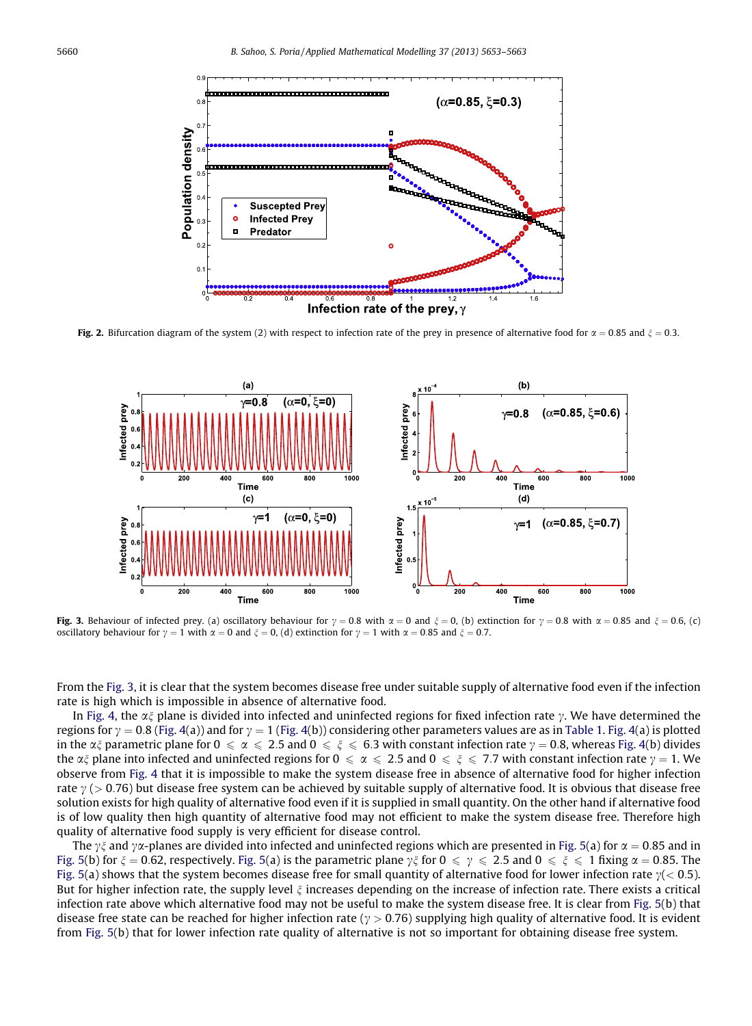<span id="page-7-0"></span>

Fig. 2. Bifurcation diagram of the system (2) with respect to infection rate of the prey in presence of alternative food for  $\alpha = 0.85$  and  $\zeta = 0.3$ .



Fig. 3. Behaviour of infected prey. (a) oscillatory behaviour for  $\gamma = 0.8$  with  $\alpha = 0$  and  $\zeta = 0$ , (b) extinction for  $\gamma = 0.8$  with  $\alpha = 0.85$  and  $\zeta = 0.6$ , (c) oscillatory behaviour for  $\gamma = 1$  with  $\alpha = 0$  and  $\xi = 0$ , (d) extinction for  $\gamma = 1$  with  $\alpha = 0.85$  and  $\xi = 0.7$ .

From the Fig. 3, it is clear that the system becomes disease free under suitable supply of alternative food even if the infection rate is high which is impossible in absence of alternative food.

In [Fig. 4](#page-8-0), the  $\alpha\xi$  plane is divided into infected and uninfected regions for fixed infection rate  $\gamma$ . We have determined the regions for  $\gamma = 0.8$  ([Fig. 4\(](#page-8-0)a)) and for  $\gamma = 1$  [\(Fig. 4\(](#page-8-0)b)) considering other parameters values are as in [Table 1.](#page-6-0) [Fig. 4](#page-8-0)(a) is plotted in the  $\alpha\xi$  parametric plane for  $0 \le \alpha \le 2.5$  and  $0 \le \xi \le 6.3$  with constant infection rate  $\gamma = 0.8$ , whereas [Fig. 4\(](#page-8-0)b) divides the  $\alpha\xi$  plane into infected and uninfected regions for  $0 \le \alpha \le 2.5$  and  $0 \le \xi \le 7.7$  with constant infection rate  $\gamma = 1$ . We observe from [Fig. 4](#page-8-0) that it is impossible to make the system disease free in absence of alternative food for higher infection rate  $\gamma$  ( $> 0.76$ ) but disease free system can be achieved by suitable supply of alternative food. It is obvious that disease free solution exists for high quality of alternative food even if it is supplied in small quantity. On the other hand if alternative food is of low quality then high quantity of alternative food may not efficient to make the system disease free. Therefore high quality of alternative food supply is very efficient for disease control.

The  $\gamma\xi$  and  $\gamma\alpha$ -planes are divided into infected and uninfected regions which are presented in [Fig. 5\(](#page-8-0)a) for  $\alpha = 0.85$  and in [Fig. 5](#page-8-0)(b) for  $\xi = 0.62$ , respectively. [Fig. 5\(](#page-8-0)a) is the parametric plane  $\gamma \xi$  for  $0 \le \gamma \le 2.5$  and  $0 \le \xi \le 1$  fixing  $\alpha = 0.85$ . The [Fig. 5](#page-8-0)(a) shows that the system becomes disease free for small quantity of alternative food for lower infection rate  $\gamma$ (< 0.5). But for higher infection rate, the supply level  $\xi$  increases depending on the increase of infection rate. There exists a critical infection rate above which alternative food may not be useful to make the system disease free. It is clear from [Fig. 5\(](#page-8-0)b) that disease free state can be reached for higher infection rate ( $\gamma > 0.76$ ) supplying high quality of alternative food. It is evident from [Fig. 5](#page-8-0)(b) that for lower infection rate quality of alternative is not so important for obtaining disease free system.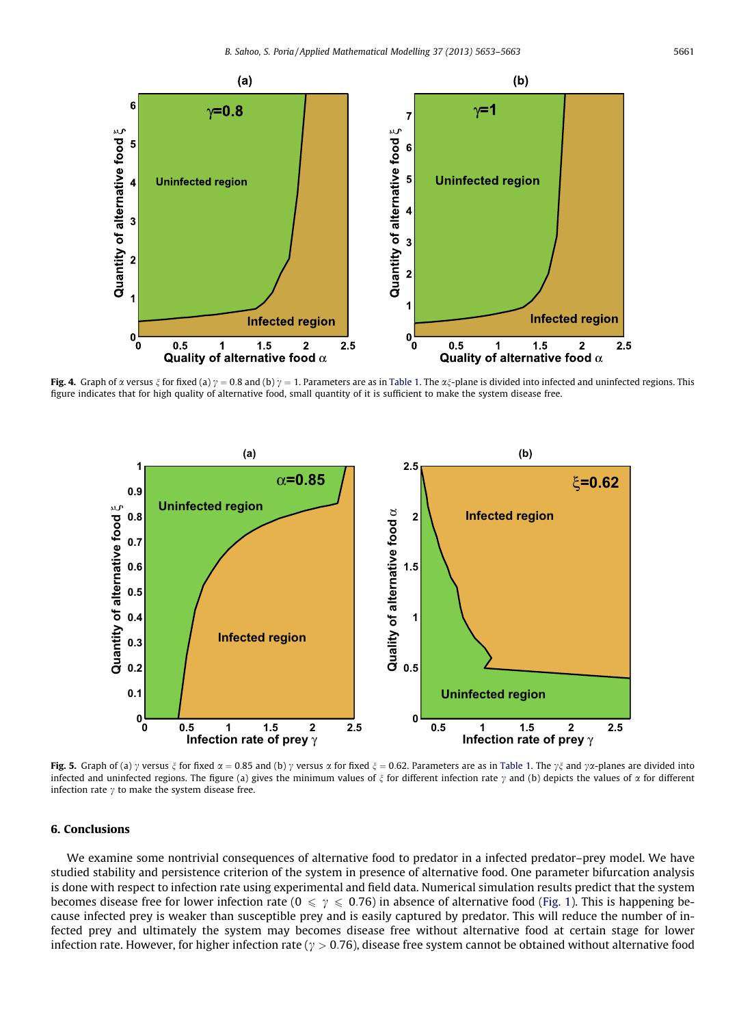<span id="page-8-0"></span>

Fig. 4. Graph of  $\alpha$  versus  $\xi$  for fixed (a)  $\gamma = 0.8$  and (b)  $\gamma = 1$ . Parameters are as in [Table 1.](#page-6-0) The  $\alpha\xi$ -plane is divided into infected and uninfected regions. This figure indicates that for high quality of alternative food, small quantity of it is sufficient to make the system disease free.



Fig. 5. Graph of (a)  $\gamma$  versus  $\xi$  for fixed  $\alpha = 0.85$  and (b)  $\gamma$  versus  $\alpha$  for fixed  $\xi = 0.62$ . Parameters are as in [Table 1.](#page-6-0) The  $\gamma \xi$  and  $\gamma \alpha$ -planes are divided into infected and uninfected regions. The figure (a) gives the minimum values of  $\xi$  for different infection rate  $\gamma$  and (b) depicts the values of  $\alpha$  for different infection rate  $\gamma$  to make the system disease free.

## 6. Conclusions

We examine some nontrivial consequences of alternative food to predator in a infected predator–prey model. We have studied stability and persistence criterion of the system in presence of alternative food. One parameter bifurcation analysis is done with respect to infection rate using experimental and field data. Numerical simulation results predict that the system becomes disease free for lower infection rate ( $0 \le \gamma \le 0.76$ ) in absence of alternative food [\(Fig. 1\)](#page-6-0). This is happening because infected prey is weaker than susceptible prey and is easily captured by predator. This will reduce the number of infected prey and ultimately the system may becomes disease free without alternative food at certain stage for lower infection rate. However, for higher infection rate ( $\gamma > 0.76$ ), disease free system cannot be obtained without alternative food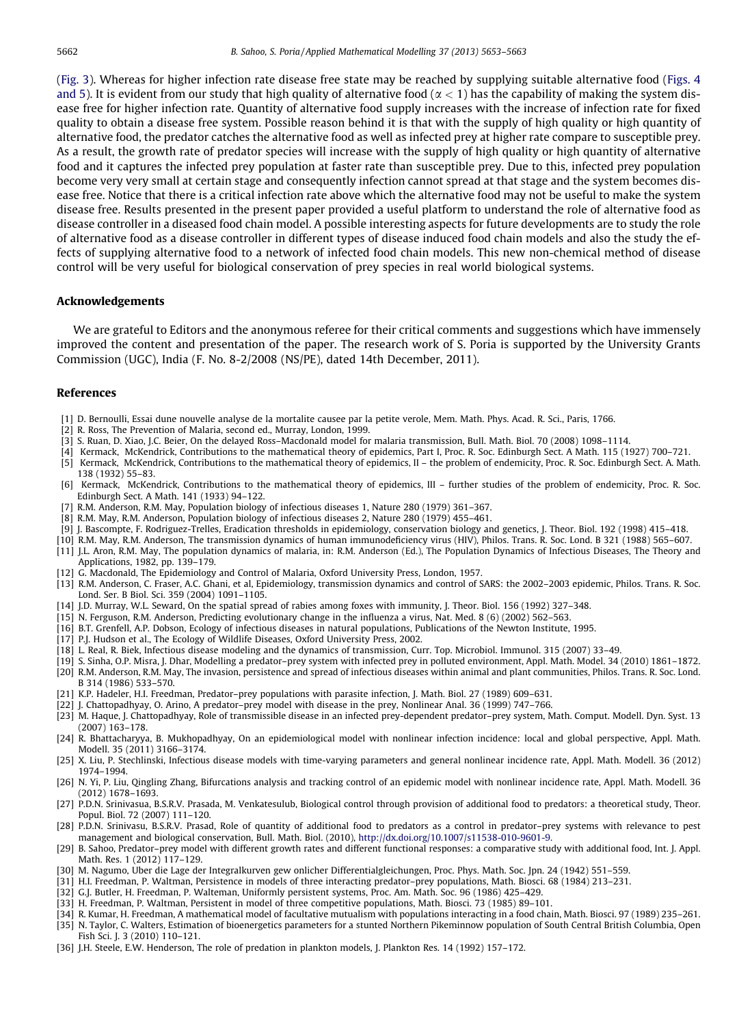<span id="page-9-0"></span>[\(Fig. 3\)](#page-7-0). Whereas for higher infection rate disease free state may be reached by supplying suitable alternative food [\(Figs. 4](#page-8-0) [and 5](#page-8-0)). It is evident from our study that high quality of alternative food ( $\alpha$  < 1) has the capability of making the system disease free for higher infection rate. Quantity of alternative food supply increases with the increase of infection rate for fixed quality to obtain a disease free system. Possible reason behind it is that with the supply of high quality or high quantity of alternative food, the predator catches the alternative food as well as infected prey at higher rate compare to susceptible prey. As a result, the growth rate of predator species will increase with the supply of high quality or high quantity of alternative food and it captures the infected prey population at faster rate than susceptible prey. Due to this, infected prey population become very very small at certain stage and consequently infection cannot spread at that stage and the system becomes disease free. Notice that there is a critical infection rate above which the alternative food may not be useful to make the system disease free. Results presented in the present paper provided a useful platform to understand the role of alternative food as disease controller in a diseased food chain model. A possible interesting aspects for future developments are to study the role of alternative food as a disease controller in different types of disease induced food chain models and also the study the effects of supplying alternative food to a network of infected food chain models. This new non-chemical method of disease control will be very useful for biological conservation of prey species in real world biological systems.

### Acknowledgements

We are grateful to Editors and the anonymous referee for their critical comments and suggestions which have immensely improved the content and presentation of the paper. The research work of S. Poria is supported by the University Grants Commission (UGC), India (F. No. 8-2/2008 (NS/PE), dated 14th December, 2011).

# References

- [1] D. Bernoulli, Essai dune nouvelle analyse de la mortalite causee par la petite verole, Mem. Math. Phys. Acad. R. Sci., Paris, 1766.
- [2] R. Ross, The Prevention of Malaria, second ed., Murray, London, 1999.
- [3] S. Ruan, D. Xiao, J.C. Beier, On the delayed Ross–Macdonald model for malaria transmission, Bull. Math. Biol. 70 (2008) 1098–1114.
- [4] Kermack, McKendrick, Contributions to the mathematical theory of epidemics, Part I, Proc. R. Soc. Edinburgh Sect. A Math. 115 (1927) 700–721.
- [5] Kermack, McKendrick, Contributions to the mathematical theory of epidemics, II the problem of endemicity, Proc. R. Soc. Edinburgh Sect. A. Math. 138 (1932) 55–83.
- [6] Kermack, McKendrick, Contributions to the mathematical theory of epidemics, III further studies of the problem of endemicity, Proc. R. Soc. Edinburgh Sect. A Math. 141 (1933) 94–122.
- [7] R.M. Anderson, R.M. May, Population biology of infectious diseases 1, Nature 280 (1979) 361–367.
- [8] R.M. May, R.M. Anderson, Population biology of infectious diseases 2, Nature 280 (1979) 455–461.
- [9] J. Bascompte, F. Rodriguez-Trelles, Eradication thresholds in epidemiology, conservation biology and genetics, J. Theor. Biol. 192 (1998) 415–418.
- [10] R.M. May, R.M. Anderson, The transmission dynamics of human immunodeficiency virus (HIV), Philos. Trans. R. Soc. Lond. B 321 (1988) 565–607.
- [11] J.L. Aron, R.M. May, The population dynamics of malaria, in: R.M. Anderson (Ed.), The Population Dynamics of Infectious Diseases, The Theory and Applications, 1982, pp. 139–179.
- [12] G. Macdonald, The Epidemiology and Control of Malaria, Oxford University Press, London, 1957.
- [13] R.M. Anderson, C. Fraser, A.C. Ghani, et al, Epidemiology, transmission dynamics and control of SARS: the 2002–2003 epidemic, Philos. Trans. R. Soc. Lond. Ser. B Biol. Sci. 359 (2004) 1091–1105.
- [14] J.D. Murray, W.L. Seward, On the spatial spread of rabies among foxes with immunity, J. Theor. Biol. 156 (1992) 327–348.
- [15] N. Ferguson, R.M. Anderson, Predicting evolutionary change in the influenza a virus, Nat. Med. 8 (6) (2002) 562–563.
- [16] B.T. Grenfell, A.P. Dobson, Ecology of infectious diseases in natural populations, Publications of the Newton Institute, 1995.
- [17] P.J. Hudson et al., The Ecology of Wildlife Diseases, Oxford University Press, 2002.
- [18] L. Real, R. Biek, Infectious disease modeling and the dynamics of transmission, Curr. Top. Microbiol. Immunol. 315 (2007) 33–49.
- [19] S. Sinha, O.P. Misra, J. Dhar, Modelling a predator–prey system with infected prey in polluted environment, Appl. Math. Model. 34 (2010) 1861–1872. [20] R.M. Anderson, R.M. May, The invasion, persistence and spread of infectious diseases within animal and plant communities, Philos. Trans. R. Soc. Lond. B 314 (1986) 533–570.
- [21] K.P. Hadeler, H.I. Freedman, Predator–prey populations with parasite infection, J. Math. Biol. 27 (1989) 609–631.
- [22] J. Chattopadhyay, O. Arino, A predator–prey model with disease in the prey, Nonlinear Anal. 36 (1999) 747–766.
- [23] M. Haque, J. Chattopadhyay, Role of transmissible disease in an infected prey-dependent predator–prey system, Math. Comput. Modell. Dyn. Syst. 13 (2007) 163–178.
- [24] R. Bhattacharyya, B. Mukhopadhyay, On an epidemiological model with nonlinear infection incidence: local and global perspective, Appl. Math. Modell. 35 (2011) 3166–3174.
- [25] X. Liu, P. Stechlinski, Infectious disease models with time-varying parameters and general nonlinear incidence rate, Appl. Math. Modell. 36 (2012) 1974–1994.
- [26] N. Yi, P. Liu, Qingling Zhang, Bifurcations analysis and tracking control of an epidemic model with nonlinear incidence rate, Appl. Math. Modell. 36  $(2012)$  1678-1693.
- [27] P.D.N. Srinivasua, B.S.R.V. Prasada, M. Venkatesulub, Biological control through provision of additional food to predators: a theoretical study, Theor. Popul. Biol. 72 (2007) 111–120.
- [28] P.D.N. Srinivasu, B.S.R.V. Prasad, Role of quantity of additional food to predators as a control in predator-prey systems with relevance to pest management and biological conservation, Bull. Math. Biol. (2010), http://dx.doi.org/[10.1007/s11538-010-9601-9.](http://dx.doi.org/10.1007/s11538-010-9601-9)
- [29] B. Sahoo, Predator–prey model with different growth rates and different functional responses: a comparative study with additional food, Int. J. Appl. Math. Res. 1 (2012) 117–129.
- [30] M. Nagumo, Uber die Lage der Integralkurven gew onlicher Differentialgleichungen, Proc. Phys. Math. Soc. Jpn. 24 (1942) 551–559.
- [31] H.I. Freedman, P. Waltman, Persistence in models of three interacting predator–prey populations, Math. Biosci. 68 (1984) 213–231.
- [32] G.J. Butler, H. Freedman, P. Walteman, Uniformly persistent systems, Proc. Am. Math. Soc. 96 (1986) 425–429.
- [33] H. Freedman, P. Waltman, Persistent in model of three competitive populations, Math. Biosci. 73 (1985) 89–101.
- [34] R. Kumar, H. Freedman, A mathematical model of facultative mutualism with populations interacting in a food chain, Math. Biosci. 97 (1989) 235–261.
- [35] N. Taylor, C. Walters, Estimation of bioenergetics parameters for a stunted Northern Pikeminnow population of South Central British Columbia, Open Fish Sci. J. 3 (2010) 110–121.
- [36] J.H. Steele, E.W. Henderson, The role of predation in plankton models, J. Plankton Res. 14 (1992) 157–172.